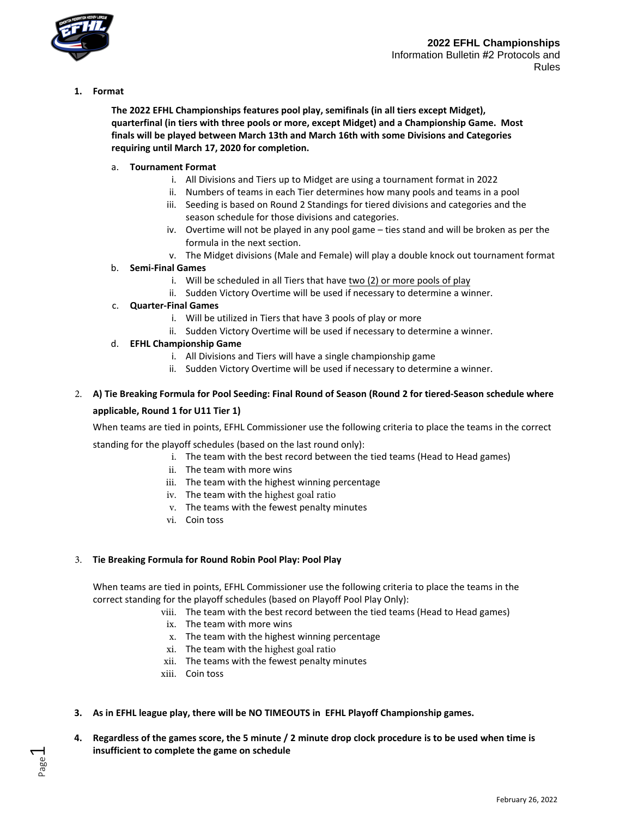

**1. Format**

**The 2022 EFHL Championships features pool play, semifinals (in all tiers except Midget), quarterfinal (in tiers with three pools or more, except Midget) and a Championship Game. Most finals will be played between March 13th and March 16th with some Divisions and Categories requiring until March 17, 2020 for completion.**

## a. **Tournament Format**

- i. All Divisions and Tiers up to Midget are using a tournament format in 2022
- ii. Numbers of teams in each Tier determines how many pools and teams in a pool
- iii. Seeding is based on Round 2 Standings for tiered divisions and categories and the season schedule for those divisions and categories.
- iv. Overtime will not be played in any pool game ties stand and will be broken as per the formula in the next section.
- v. The Midget divisions (Male and Female) will play a double knock out tournament format
- b. **Semi-Final Games**
	- i. Will be scheduled in all Tiers that have two (2) or more pools of play
	- ii. Sudden Victory Overtime will be used if necessary to determine a winner.

#### c. **Quarter-Final Games**

- i. Will be utilized in Tiers that have 3 pools of play or more
- ii. Sudden Victory Overtime will be used if necessary to determine a winner.

#### d. **EFHL Championship Game**

- i. All Divisions and Tiers will have a single championship game
- ii. Sudden Victory Overtime will be used if necessary to determine a winner.

# 2. **A) Tie Breaking Formula for Pool Seeding: Final Round of Season (Round 2 for tiered-Season schedule where applicable, Round 1 for U11 Tier 1)**

When teams are tied in points, EFHL Commissioner use the following criteria to place the teams in the correct

standing for the playoff schedules (based on the last round only):

- i. The team with the best record between the tied teams (Head to Head games)
- ii. The team with more wins
- iii. The team with the highest winning percentage
- iv. The team with the highest goal ratio
- v. The teams with the fewest penalty minutes
- vi. Coin toss

## 3. **Tie Breaking Formula for Round Robin Pool Play: Pool Play**

When teams are tied in points, EFHL Commissioner use the following criteria to place the teams in the correct standing for the playoff schedules (based on Playoff Pool Play Only):

- viii. The team with the best record between the tied teams (Head to Head games)
- ix. The team with more wins
- x. The team with the highest winning percentage
- xi. The team with the highest goal ratio
- xii. The teams with the fewest penalty minutes
- xiii. Coin toss
- **3. As in EFHL league play, there will be NO TIMEOUTS in EFHL Playoff Championship games.**
- **4. Regardless of the games score, the 5 minute / 2 minute drop clock procedure is to be used when time is insufficient to complete the game on schedule**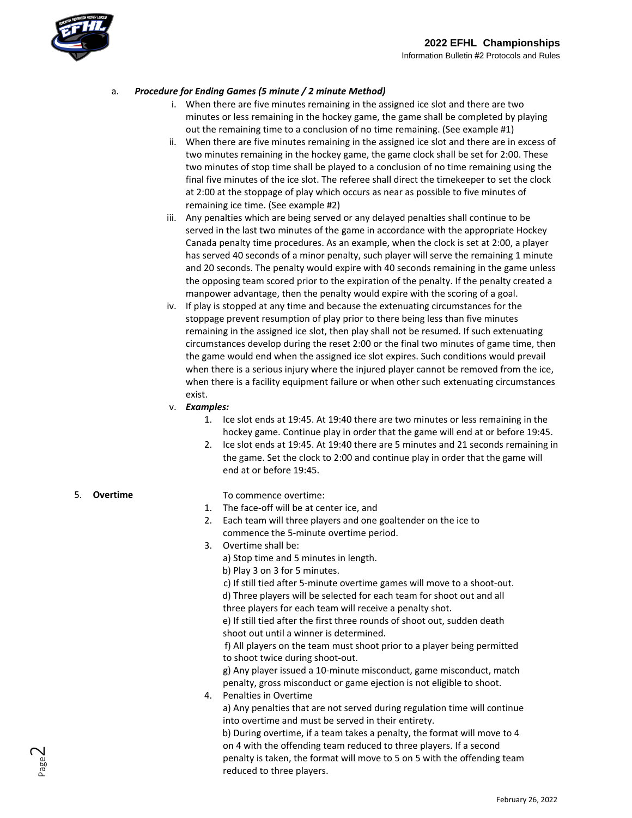

# a. *Procedure for Ending Games (5 minute / 2 minute Method)*

- i. When there are five minutes remaining in the assigned ice slot and there are two minutes or less remaining in the hockey game, the game shall be completed by playing out the remaining time to a conclusion of no time remaining. (See example #1)
- ii. When there are five minutes remaining in the assigned ice slot and there are in excess of two minutes remaining in the hockey game, the game clock shall be set for 2:00. These two minutes of stop time shall be played to a conclusion of no time remaining using the final five minutes of the ice slot. The referee shall direct the timekeeper to set the clock at 2:00 at the stoppage of play which occurs as near as possible to five minutes of remaining ice time. (See example #2)
- iii. Any penalties which are being served or any delayed penalties shall continue to be served in the last two minutes of the game in accordance with the appropriate Hockey Canada penalty time procedures. As an example, when the clock is set at 2:00, a player has served 40 seconds of a minor penalty, such player will serve the remaining 1 minute and 20 seconds. The penalty would expire with 40 seconds remaining in the game unless the opposing team scored prior to the expiration of the penalty. If the penalty created a manpower advantage, then the penalty would expire with the scoring of a goal.
- iv. If play is stopped at any time and because the extenuating circumstances for the stoppage prevent resumption of play prior to there being less than five minutes remaining in the assigned ice slot, then play shall not be resumed. If such extenuating circumstances develop during the reset 2:00 or the final two minutes of game time, then the game would end when the assigned ice slot expires. Such conditions would prevail when there is a serious injury where the injured player cannot be removed from the ice, when there is a facility equipment failure or when other such extenuating circumstances exist.
- v. *Examples:*
	- 1. Ice slot ends at 19:45. At 19:40 there are two minutes or less remaining in the hockey game. Continue play in order that the game will end at or before 19:45.
	- 2. Ice slot ends at 19:45. At 19:40 there are 5 minutes and 21 seconds remaining in the game. Set the clock to 2:00 and continue play in order that the game will end at or before 19:45.

#### 5. **Overtime**

- To commence overtime:
- 1. The face-off will be at center ice, and
- 2. Each team will three players and one goaltender on the ice to commence the 5-minute overtime period.
- 3. Overtime shall be:
	- a) Stop time and 5 minutes in length.
		- b) Play 3 on 3 for 5 minutes.

c) If still tied after 5-minute overtime games will move to a shoot-out. d) Three players will be selected for each team for shoot out and all three players for each team will receive a penalty shot.

e) If still tied after the first three rounds of shoot out, sudden death shoot out until a winner is determined.

f) All players on the team must shoot prior to a player being permitted to shoot twice during shoot-out.

g) Any player issued a 10-minute misconduct, game misconduct, match penalty, gross misconduct or game ejection is not eligible to shoot.

4. Penalties in Overtime

a) Any penalties that are not served during regulation time will continue into overtime and must be served in their entirety.

b) During overtime, if a team takes a penalty, the format will move to 4 on 4 with the offending team reduced to three players. If a second penalty is taken, the format will move to 5 on 5 with the offending team reduced to three players.